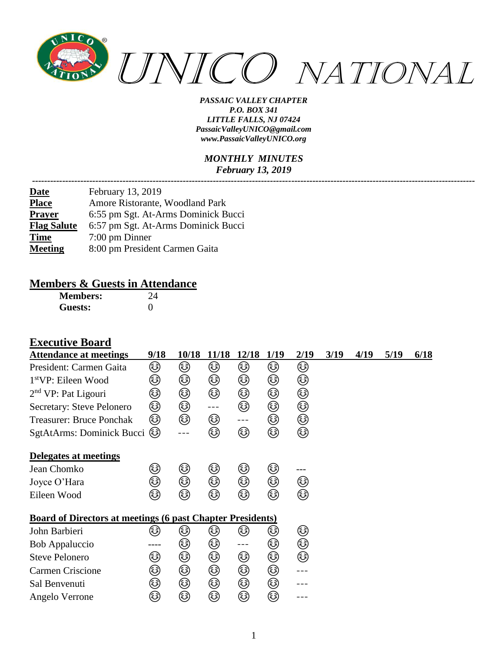

#### *MONTHLY MINUTES February 13, 2019*

| February 13, 2019                   |
|-------------------------------------|
| Amore Ristorante, Woodland Park     |
| 6:55 pm Sgt. At-Arms Dominick Bucci |
| 6:57 pm Sgt. At-Arms Dominick Bucci |
| $7:00 \text{ pm}$ Dinner            |
| 8:00 pm President Carmen Gaita      |
|                                     |

# **Members & Guests in Attendance**<br>Members: 24

**Members: Guests:** 0

#### **Executive Board**

| <b>Attendance at meetings</b>                                     | 9/18     | 10/18 | 11/18   | 12/18               | 1/19 | 2/19 | 3/19 | 4/19 | 5/19 | 6/18 |
|-------------------------------------------------------------------|----------|-------|---------|---------------------|------|------|------|------|------|------|
| President: Carmen Gaita                                           | ۵        | ٨     | ☺       | ☺                   | ٨    | ☺    |      |      |      |      |
| 1 <sup>st</sup> VP: Eileen Wood                                   | ☺        | ☺     | ☺       | ☺                   | ☺    | ☺    |      |      |      |      |
| $2nd$ VP: Pat Ligouri                                             | ☺        | ☺     | ☺       | ☺                   | ☺    | ☺    |      |      |      |      |
| Secretary: Steve Pelonero                                         | ☺        | ٨     | $- - -$ | ۵                   | ☺    | ☺    |      |      |      |      |
| <b>Treasurer: Bruce Ponchak</b>                                   | ☺        | ٨     | ۵       | $\qquad \qquad - -$ | ☺    | ☺    |      |      |      |      |
| SgtAtArms: Dominick Bucci                                         | (رَجَعَ) | ---   | ٨       | ٨                   | ☺    | ☺    |      |      |      |      |
| Delegates at meetings                                             |          |       |         |                     |      |      |      |      |      |      |
| Jean Chomko                                                       | ٨        | ☺     | ☺       | ☺                   | ٨    |      |      |      |      |      |
| Joyce O'Hara                                                      | کی       | ۵     | ☺       | ٨                   | ☺    | کی   |      |      |      |      |
| Eileen Wood                                                       | کی       | ٨     | ☺       | ☺                   | ☺    | ٨    |      |      |      |      |
| <b>Board of Directors at meetings (6 past Chapter Presidents)</b> |          |       |         |                     |      |      |      |      |      |      |
| John Barbieri                                                     | کا       | کا    | کی      | کی                  | ک    | ☺    |      |      |      |      |
| Bob Appaluccio                                                    |          | ☺     | ☺       | ---                 | ☺    | ☺    |      |      |      |      |
| <b>Steve Pelonero</b>                                             | ٨        | ☺     | ☺       | ☺                   | ☺    | ٨    |      |      |      |      |
| <b>Carmen Criscione</b>                                           | ٨        | ☺     | ☺       | ☺                   | ☺    |      |      |      |      |      |
| Sal Benvenuti                                                     | ☺        | ☺     | ☺       | ☺                   | ☺    |      |      |      |      |      |
| Angelo Verrone                                                    | ☺        | ☺     | ☺       | ☺                   | ☺    |      |      |      |      |      |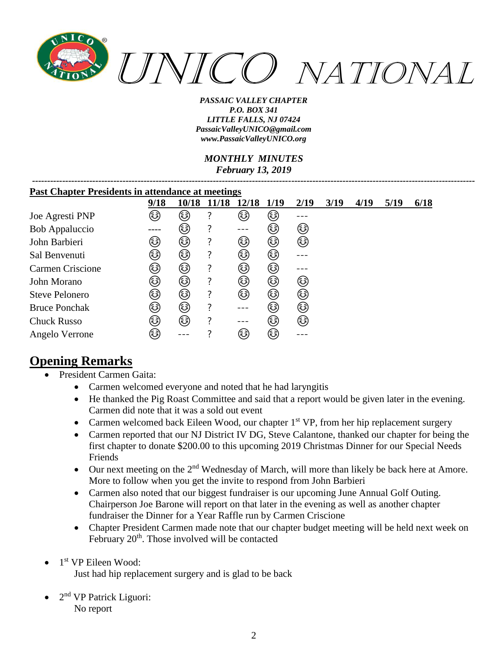

#### *MONTHLY MINUTES February 13, 2019*

| <b>Past Chapter Presidents in attendance at meetings</b> |      |       |       |       |        |      |      |      |      |      |
|----------------------------------------------------------|------|-------|-------|-------|--------|------|------|------|------|------|
|                                                          | 9/18 | 10/18 | 11/18 | 12/18 | 1/19   | 2/19 | 3/19 | 4/19 | 5/19 | 6/18 |
| Joe Agresti PNP                                          | کی   | ٨     | 7     | (هَ)  | کی     |      |      |      |      |      |
| Bob Appaluccio                                           |      | کی    | 7     | ---   | کی     | ٨    |      |      |      |      |
| John Barbieri                                            | کا   | کی    | ?     | ٨     | کی     | ٨    |      |      |      |      |
| Sal Benvenuti                                            | کی   | کی    | ?     | کا    | ٨      |      |      |      |      |      |
| <b>Carmen Criscione</b>                                  | کی   | کی    | ?     | ٨     | کی     |      |      |      |      |      |
| John Morano                                              | ٨    | ٨     | ?     | ٨     | کی     | ٨    |      |      |      |      |
| <b>Steve Pelonero</b>                                    | ٨    | ٨     | 7     | ٨     | ٨      | ٨    |      |      |      |      |
| <b>Bruce Ponchak</b>                                     | ٨    | ٨     | 7     |       | (هَءَ) | ٨    |      |      |      |      |
| <b>Chuck Russo</b>                                       | ٨    | ٨     | 7     |       | (هَءَ) | ٨    |      |      |      |      |
| Angelo Verrone                                           | کہ)  |       |       | ٤     | (هَءَ) |      |      |      |      |      |

# **Opening Remarks**

- President Carmen Gaita:
	- Carmen welcomed everyone and noted that he had laryngitis
	- He thanked the Pig Roast Committee and said that a report would be given later in the evening. Carmen did note that it was a sold out event
	- Carmen welcomed back Eileen Wood, our chapter 1<sup>st</sup> VP, from her hip replacement surgery
	- Carmen reported that our NJ District IV DG, Steve Calantone, thanked our chapter for being the first chapter to donate \$200.00 to this upcoming 2019 Christmas Dinner for our Special Needs Friends
	- Our next meeting on the  $2<sup>nd</sup>$  Wednesday of March, will more than likely be back here at Amore. More to follow when you get the invite to respond from John Barbieri
	- Carmen also noted that our biggest fundraiser is our upcoming June Annual Golf Outing. Chairperson Joe Barone will report on that later in the evening as well as another chapter fundraiser the Dinner for a Year Raffle run by Carmen Criscione
	- Chapter President Carmen made note that our chapter budget meeting will be held next week on February 20<sup>th</sup>. Those involved will be contacted
- 1<sup>st</sup> VP Eileen Wood:

Just had hip replacement surgery and is glad to be back

 $\bullet$  2<sup>nd</sup> VP Patrick Liguori: No report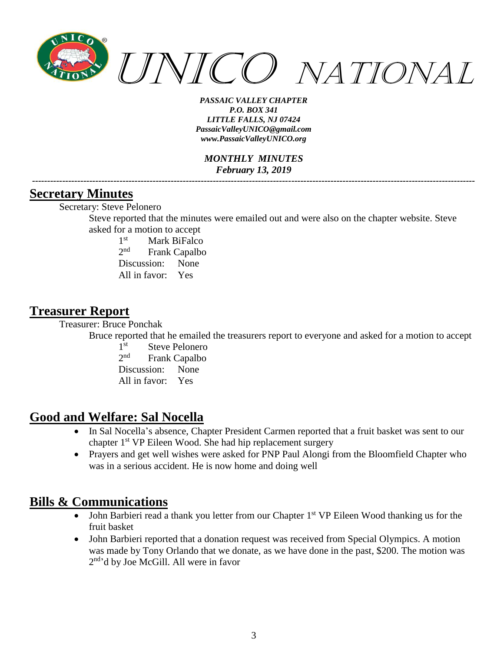

*MONTHLY MINUTES February 13, 2019 ---------------------------------------------------------------------------------------------------------------------------------------------------*

### **Secretary Minutes**

Secretary: Steve Pelonero

Steve reported that the minutes were emailed out and were also on the chapter website. Steve asked for a motion to accept

 $1<sup>st</sup>$ Mark BiFalco  $2^{nd}$ Frank Capalbo Discussion: None All in favor: Yes

### **Treasurer Report**

Treasurer: Bruce Ponchak

Bruce reported that he emailed the treasurers report to everyone and asked for a motion to accept

 $1<sup>st</sup>$ Steve Pelonero  $2<sub>nd</sub>$ Frank Capalbo Discussion: None All in favor: Yes

# **Good and Welfare: Sal Nocella**

- In Sal Nocella's absence, Chapter President Carmen reported that a fruit basket was sent to our chapter 1st VP Eileen Wood. She had hip replacement surgery
- Prayers and get well wishes were asked for PNP Paul Alongi from the Bloomfield Chapter who was in a serious accident. He is now home and doing well

# **Bills & Communications**

- John Barbieri read a thank you letter from our Chapter 1<sup>st</sup> VP Eileen Wood thanking us for the fruit basket
- John Barbieri reported that a donation request was received from Special Olympics. A motion was made by Tony Orlando that we donate, as we have done in the past, \$200. The motion was 2 nd 'd by Joe McGill. All were in favor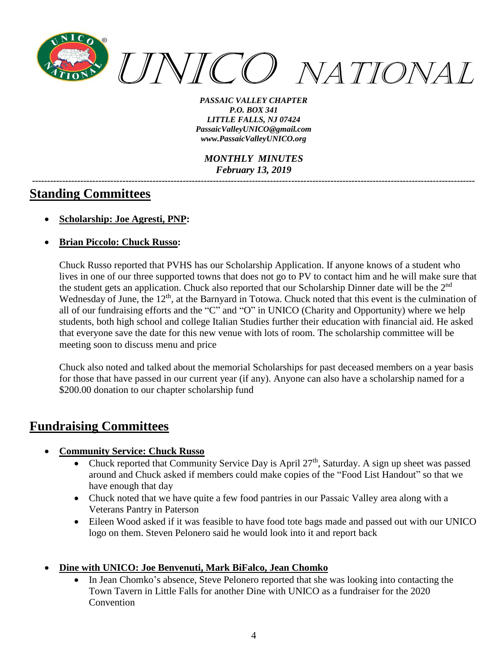

*MONTHLY MINUTES February 13, 2019*

*---------------------------------------------------------------------------------------------------------------------------------------------------*

# **Standing Committees**

- **Scholarship: Joe Agresti, PNP:**
- **Brian Piccolo: Chuck Russo:**

Chuck Russo reported that PVHS has our Scholarship Application. If anyone knows of a student who lives in one of our three supported towns that does not go to PV to contact him and he will make sure that the student gets an application. Chuck also reported that our Scholarship Dinner date will be the 2<sup>nd</sup> Wednesday of June, the 12<sup>th</sup>, at the Barnyard in Totowa. Chuck noted that this event is the culmination of all of our fundraising efforts and the "C" and "O" in UNICO (Charity and Opportunity) where we help students, both high school and college Italian Studies further their education with financial aid. He asked that everyone save the date for this new venue with lots of room. The scholarship committee will be meeting soon to discuss menu and price

Chuck also noted and talked about the memorial Scholarships for past deceased members on a year basis for those that have passed in our current year (if any). Anyone can also have a scholarship named for a \$200.00 donation to our chapter scholarship fund

# **Fundraising Committees**

- **Community Service: Chuck Russo**
	- Chuck reported that Community Service Day is April 27<sup>th</sup>, Saturday. A sign up sheet was passed around and Chuck asked if members could make copies of the "Food List Handout" so that we have enough that day
	- Chuck noted that we have quite a few food pantries in our Passaic Valley area along with a Veterans Pantry in Paterson
	- Eileen Wood asked if it was feasible to have food tote bags made and passed out with our UNICO logo on them. Steven Pelonero said he would look into it and report back
- **Dine with UNICO: Joe Benvenuti, Mark BiFalco, Jean Chomko**
	- In Jean Chomko's absence, Steve Pelonero reported that she was looking into contacting the Town Tavern in Little Falls for another Dine with UNICO as a fundraiser for the 2020 **Convention**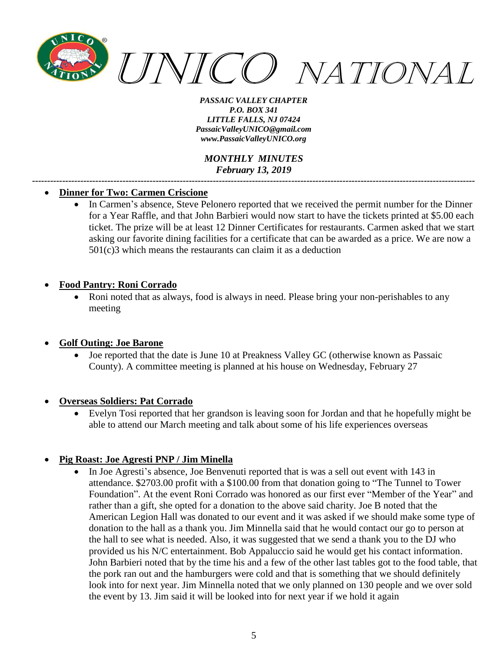

*MONTHLY MINUTES February 13, 2019*

*---------------------------------------------------------------------------------------------------------------------------------------------------*

#### • **Dinner for Two: Carmen Criscione**

• In Carmen's absence, Steve Pelonero reported that we received the permit number for the Dinner for a Year Raffle, and that John Barbieri would now start to have the tickets printed at \$5.00 each ticket. The prize will be at least 12 Dinner Certificates for restaurants. Carmen asked that we start asking our favorite dining facilities for a certificate that can be awarded as a price. We are now a 501(c)3 which means the restaurants can claim it as a deduction

#### • **Food Pantry: Roni Corrado**

• Roni noted that as always, food is always in need. Please bring your non-perishables to any meeting

#### • **Golf Outing: Joe Barone**

• Joe reported that the date is June 10 at Preakness Valley GC (otherwise known as Passaic County). A committee meeting is planned at his house on Wednesday, February 27

#### • **Overseas Soldiers: Pat Corrado**

• Evelyn Tosi reported that her grandson is leaving soon for Jordan and that he hopefully might be able to attend our March meeting and talk about some of his life experiences overseas

#### • **Pig Roast: Joe Agresti PNP / Jim Minella**

• In Joe Agresti's absence, Joe Benvenuti reported that is was a sell out event with 143 in attendance. \$2703.00 profit with a \$100.00 from that donation going to "The Tunnel to Tower Foundation". At the event Roni Corrado was honored as our first ever "Member of the Year" and rather than a gift, she opted for a donation to the above said charity. Joe B noted that the American Legion Hall was donated to our event and it was asked if we should make some type of donation to the hall as a thank you. Jim Minnella said that he would contact our go to person at the hall to see what is needed. Also, it was suggested that we send a thank you to the DJ who provided us his N/C entertainment. Bob Appaluccio said he would get his contact information. John Barbieri noted that by the time his and a few of the other last tables got to the food table, that the pork ran out and the hamburgers were cold and that is something that we should definitely look into for next year. Jim Minnella noted that we only planned on 130 people and we over sold the event by 13. Jim said it will be looked into for next year if we hold it again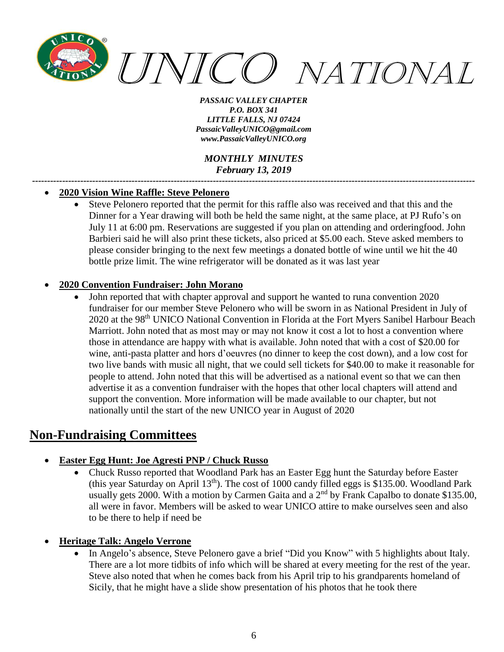

*MONTHLY MINUTES February 13, 2019*

*---------------------------------------------------------------------------------------------------------------------------------------------------*

#### • **2020 Vision Wine Raffle: Steve Pelonero**

• Steve Pelonero reported that the permit for this raffle also was received and that this and the Dinner for a Year drawing will both be held the same night, at the same place, at PJ Rufo's on July 11 at 6:00 pm. Reservations are suggested if you plan on attending and orderingfood. John Barbieri said he will also print these tickets, also priced at \$5.00 each. Steve asked members to please consider bringing to the next few meetings a donated bottle of wine until we hit the 40 bottle prize limit. The wine refrigerator will be donated as it was last year

#### • **2020 Convention Fundraiser: John Morano**

• John reported that with chapter approval and support he wanted to runa convention 2020 fundraiser for our member Steve Pelonero who will be sworn in as National President in July of 2020 at the 98<sup>th</sup> UNICO National Convention in Florida at the Fort Myers Sanibel Harbour Beach Marriott. John noted that as most may or may not know it cost a lot to host a convention where those in attendance are happy with what is available. John noted that with a cost of \$20.00 for wine, anti-pasta platter and hors d'oeuvres (no dinner to keep the cost down), and a low cost for two live bands with music all night, that we could sell tickets for \$40.00 to make it reasonable for people to attend. John noted that this will be advertised as a national event so that we can then advertise it as a convention fundraiser with the hopes that other local chapters will attend and support the convention. More information will be made available to our chapter, but not nationally until the start of the new UNICO year in August of 2020

# **Non-Fundraising Committees**

- **Easter Egg Hunt: Joe Agresti PNP / Chuck Russo**
	- Chuck Russo reported that Woodland Park has an Easter Egg hunt the Saturday before Easter (this year Saturday on April  $13<sup>th</sup>$ ). The cost of 1000 candy filled eggs is \$135.00. Woodland Park usually gets 2000. With a motion by Carmen Gaita and a 2<sup>nd</sup> by Frank Capalbo to donate \$135.00, all were in favor. Members will be asked to wear UNICO attire to make ourselves seen and also to be there to help if need be
- **Heritage Talk: Angelo Verrone**
	- In Angelo's absence, Steve Pelonero gave a brief "Did you Know" with 5 highlights about Italy. There are a lot more tidbits of info which will be shared at every meeting for the rest of the year. Steve also noted that when he comes back from his April trip to his grandparents homeland of Sicily, that he might have a slide show presentation of his photos that he took there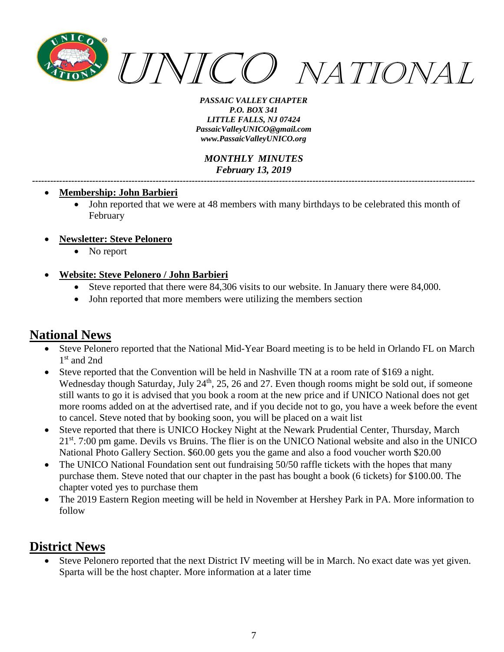

*MONTHLY MINUTES February 13, 2019 ---------------------------------------------------------------------------------------------------------------------------------------------------*

- **Membership: John Barbieri**
	- John reported that we were at 48 members with many birthdays to be celebrated this month of February
- **Newsletter: Steve Pelonero**
	- No report
- **Website: Steve Pelonero / John Barbieri**
	- Steve reported that there were 84,306 visits to our website. In January there were 84,000.
	- John reported that more members were utilizing the members section

# **National News**

- Steve Pelonero reported that the National Mid-Year Board meeting is to be held in Orlando FL on March 1 st and 2nd
- Steve reported that the Convention will be held in Nashville TN at a room rate of \$169 a night. Wednesday though Saturday, July 24<sup>th</sup>, 25, 26 and 27. Even though rooms might be sold out, if someone still wants to go it is advised that you book a room at the new price and if UNICO National does not get more rooms added on at the advertised rate, and if you decide not to go, you have a week before the event to cancel. Steve noted that by booking soon, you will be placed on a wait list
- Steve reported that there is UNICO Hockey Night at the Newark Prudential Center, Thursday, March 21<sup>st</sup>. 7:00 pm game. Devils vs Bruins. The flier is on the UNICO National website and also in the UNICO National Photo Gallery Section. \$60.00 gets you the game and also a food voucher worth \$20.00
- The UNICO National Foundation sent out fundraising 50/50 raffle tickets with the hopes that many purchase them. Steve noted that our chapter in the past has bought a book (6 tickets) for \$100.00. The chapter voted yes to purchase them
- The 2019 Eastern Region meeting will be held in November at Hershey Park in PA. More information to follow

### **District News**

Steve Pelonero reported that the next District IV meeting will be in March. No exact date was yet given. Sparta will be the host chapter. More information at a later time